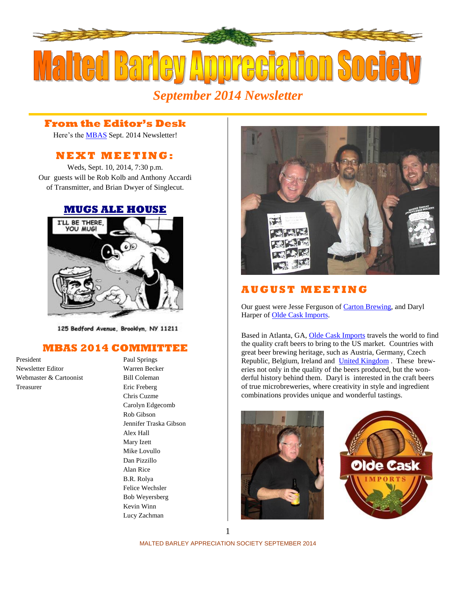

# *September 2014 Newsletter*

#### **From the Editor's Desk**

Here's the [MBAS](http://hbd.org/mbas) Sept. 2014 Newsletter!

## **N E X T M E ETI N G :**

Weds, Sept. 10, 2014, 7:30 p.m. Our guests will be Rob Kolb and Anthony Accardi of Transmitter, and Brian Dwyer of Singlecut.

#### **[MUGS ALE HOUSE](http://www.mugsalehouse.com/)**



125 Bedford Avenue, Brooklyn, NY 11211

### **MBAS 2014 COMMITTEE**

President Paul Springs Newsletter Editor Warren Becker Webmaster & Cartoonist Bill Coleman Treasurer Eric Freberg

Chris Cuzme Carolyn Edgecomb Rob Gibson Jennifer Traska Gibson Alex Hall Mary Izett Mike Lovullo Dan Pizzillo Alan Rice B.R. Rolya Felice Wechsler Bob Weyersberg Kevin Winn Lucy Zachman



## **A U G U S T M E ETI N G**

Our guest were Jesse Ferguson of Carton [Brewing,](http://cartonbrewing.com/) and Daryl Harper of [Olde Cask Imports.](http://www.oldecaskimports.com/)

Based in Atlanta, GA, [Olde Cask Imports](http://www.oldecaskimports.com/) travels the world to find the quality craft beers to bring to the US market. Countries with great beer brewing heritage, such as Austria, Germany, Czech Republic, Belgium, Ireland and [United Kingdom](http://www.oldecaskimports.com/breweries) . These breweries not only in the quality of the beers produced, but the wonderful history behind them. Daryl is interested in the craft beers of true microbreweries, where creativity in style and ingredient combinations provides unique and wonderful tastings.





MALTED BARLEY APPRECIATION SOCIETY SEPTEMBER 2014 1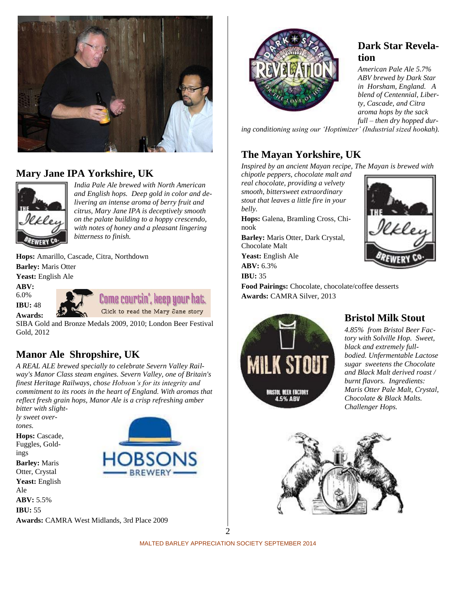

## **Mary Jane IPA Yorkshire, UK**



*India Pale Ale brewed with North American and English hops. Deep gold in color and delivering an intense aroma of berry fruit and citrus, Mary Jane IPA is deceptively smooth on the palate building to a hoppy crescendo, with notes of honey and a pleasant lingering bitterness to finish.*

**Hops:** Amarillo, Cascade, Citra, Northdown **Barley:** Maris Otter **Yeast:** English Ale

**ABV:** 

6.0% **IBU:** 48

**Awards:** 

Come courtin', keep your hat. Click to read the Mary Jane story

SIBA Gold and Bronze Medals 2009, 2010; London Beer Festival Gold, 2012

## **Manor Ale Shropshire, UK**

*A REAL ALE brewed specially to celebrate Severn Valley Railway's Manor Class steam engines. Severn Valley, one of Britain's finest Heritage Railways, chose Hobson's for its integrity and commitment to its roots in the heart of England. With aromas that reflect fresh grain hops, Manor Ale is a crisp refreshing amber bitter with slight-*

*ly sweet overtones.* Hops: Cascade, Fuggles, Goldings **Barley:** Maris Otter, Crystal **Yeast:** English Ale **ABV:** 5.5% **IBU:** 55 **Awards:** CAMRA West Midlands, 3rd Place 2009



## **Dark Star Revelation**

*American Pale Ale 5.7% ABV brewed by Dark Star in Horsham, England. A blend of Centennial, Liberty, Cascade, and Citra aroma hops by the sack full – then dry hopped dur-*

*ing conditioning using our 'Hoptimizer' (Industrial sized hookah).*

# **The Mayan Yorkshire, UK**

*Inspired by an ancient Mayan recipe, The Mayan is brewed with* 

*chipotle peppers, chocolate malt and real chocolate, providing a velvety smooth, bittersweet extraordinary stout that leaves a little fire in your belly.*

**Hops:** Galena, Bramling Cross, Chinook

**Barley:** Maris Otter, Dark Crystal, Chocolate Malt **Yeast:** English Ale **ABV:** 6.3%

**IBU:** 35

**Food Pairings:** Chocolate, chocolate/coffee desserts **Awards:** CAMRA Silver, 2013



## **Bristol Milk Stout**

*4.85% from Bristol Beer Factory with Solville Hop. Sweet, black and extremely fullbodied. Unfermentable Lactose sugar sweetens the Chocolate and Black Malt derived roast / burnt flavors. Ingredients: Maris Otter Pale Malt, Crystal, Chocolate & Black Malts. Challenger Hops.* 



MALTED BARLEY APPRECIATION SOCIETY SEPTEMBER 2014 2